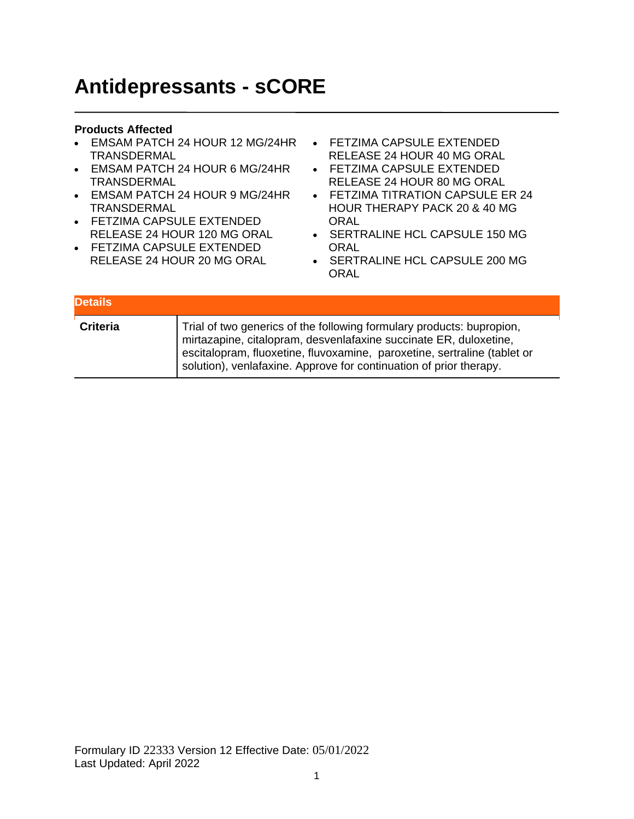## **Antidepressants - sCORE**

- EMSAM PATCH 24 HOUR 12 MG/24HR TRANSDERMAL
- EMSAM PATCH 24 HOUR 6 MG/24HR TRANSDERMAL
- EMSAM PATCH 24 HOUR 9 MG/24HR TRANSDERMAL
- FETZIMA CAPSULE EXTENDED RELEASE 24 HOUR 120 MG ORAL
- FETZIMA CAPSULE EXTENDED RELEASE 24 HOUR 20 MG ORAL
- FETZIMA CAPSULE EXTENDED RELEASE 24 HOUR 40 MG ORAL
- FETZIMA CAPSULE EXTENDED RELEASE 24 HOUR 80 MG ORAL
- FETZIMA TITRATION CAPSULE ER 24 HOUR THERAPY PACK 20 & 40 MG **ORAL**
- SERTRALINE HCL CAPSULE 150 MG **ORAL**
- SERTRALINE HCL CAPSULE 200 MG ORAL

| <b>Details</b>  |                                                                                                                                                                                                                                                                                              |
|-----------------|----------------------------------------------------------------------------------------------------------------------------------------------------------------------------------------------------------------------------------------------------------------------------------------------|
| <b>Criteria</b> | Trial of two generics of the following formulary products: bupropion,<br>mirtazapine, citalopram, desvenlafaxine succinate ER, duloxetine,<br>escitalopram, fluoxetine, fluvoxamine, paroxetine, sertraline (tablet or<br>solution), venlafaxine. Approve for continuation of prior therapy. |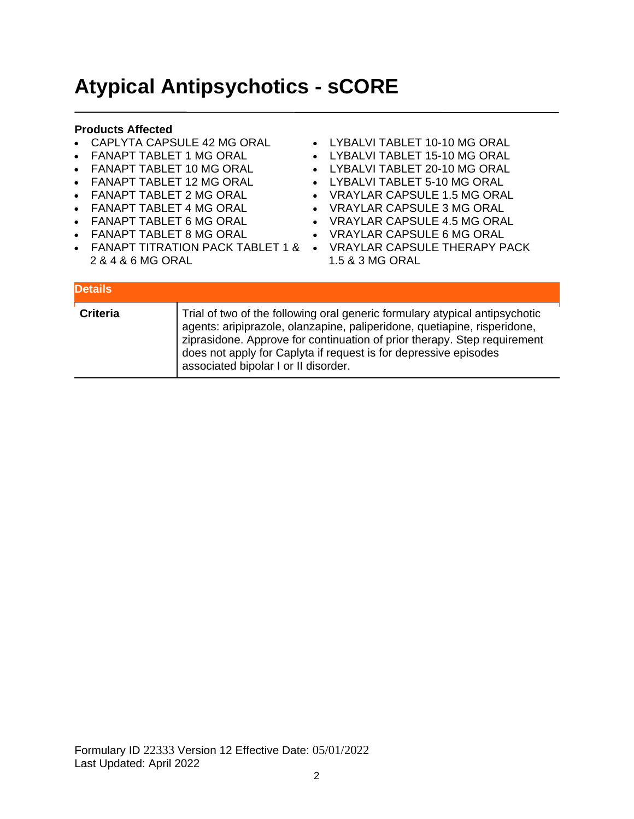## **Atypical Antipsychotics - sCORE**

- CAPLYTA CAPSULE 42 MG ORAL
- FANAPT TABLET 1 MG ORAL
- FANAPT TABLET 10 MG ORAL
- FANAPT TABLET 12 MG ORAL
- FANAPT TABLET 2 MG ORAL
- FANAPT TABLET 4 MG ORAL
- FANAPT TABLET 6 MG ORAL
- FANAPT TABLET 8 MG ORAL
- 
- 2 & 4 & 6 MG ORAL
- LYBALVI TABLET 10-10 MG ORAL
- LYBALVI TABLET 15-10 MG ORAL
- LYBALVI TABLET 20-10 MG ORAL
- LYBALVI TABLET 5-10 MG ORAL
- VRAYLAR CAPSULE 1.5 MG ORAL
- VRAYLAR CAPSULE 3 MG ORAL
- VRAYLAR CAPSULE 4.5 MG ORAL
- VRAYLAR CAPSULE 6 MG ORAL
- FANAPT TITRATION PACK TABLET 1 & VRAYLAR CAPSULE THERAPY PACK 1.5 & 3 MG ORAL

| <b>Details</b>  |                                                                                                                                                                                                                                                                                                                                                 |
|-----------------|-------------------------------------------------------------------------------------------------------------------------------------------------------------------------------------------------------------------------------------------------------------------------------------------------------------------------------------------------|
| <b>Criteria</b> | Trial of two of the following oral generic formulary atypical antipsychotic<br>agents: aripiprazole, olanzapine, paliperidone, quetiapine, risperidone,<br>ziprasidone. Approve for continuation of prior therapy. Step requirement<br>does not apply for Caplyta if request is for depressive episodes<br>associated bipolar I or II disorder. |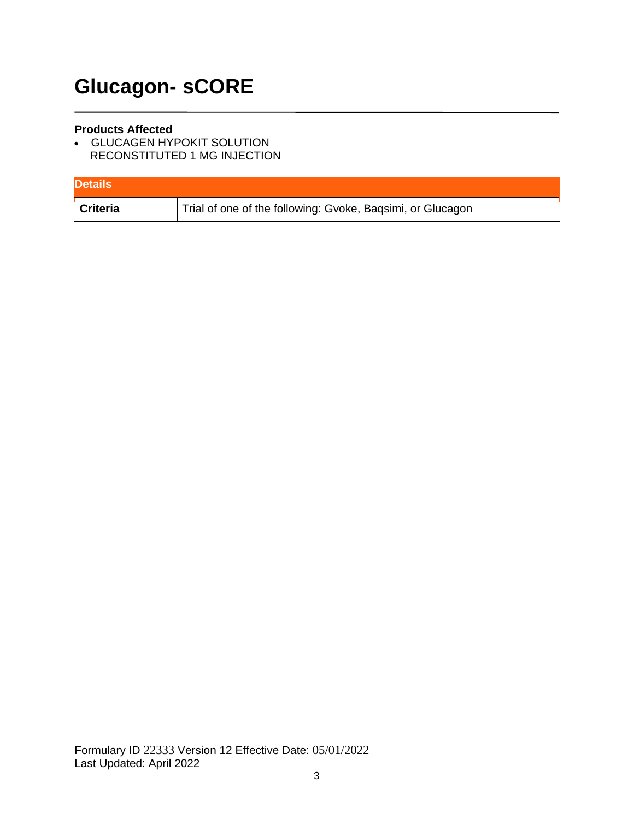# **Glucagon- sCORE**

#### **Products Affected**

• GLUCAGEN HYPOKIT SOLUTION RECONSTITUTED 1 MG INJECTION

| <b>Details</b> |                                                            |
|----------------|------------------------------------------------------------|
| Criteria       | Trial of one of the following: Gvoke, Baqsimi, or Glucagon |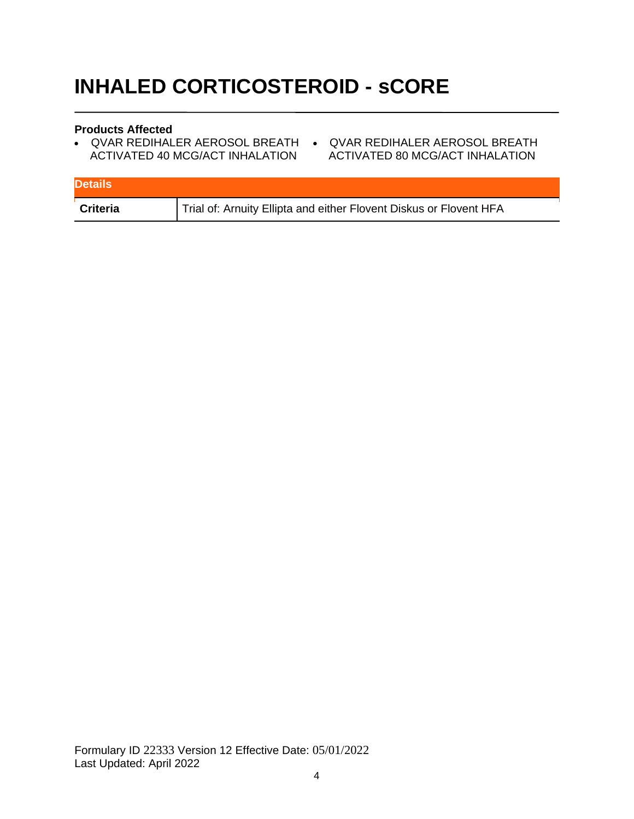# **INHALED CORTICOSTEROID - sCORE**

- QVAR REDIHALER AEROSOL BREATH QVAR REDIHALER AEROSOL BREATH ACTIVATED 40 MCG/ACT INHALATION
- ACTIVATED 80 MCG/ACT INHALATION

| <b>Details</b>  |                                                                    |
|-----------------|--------------------------------------------------------------------|
| <b>Criteria</b> | Trial of: Arnuity Ellipta and either Flovent Diskus or Flovent HFA |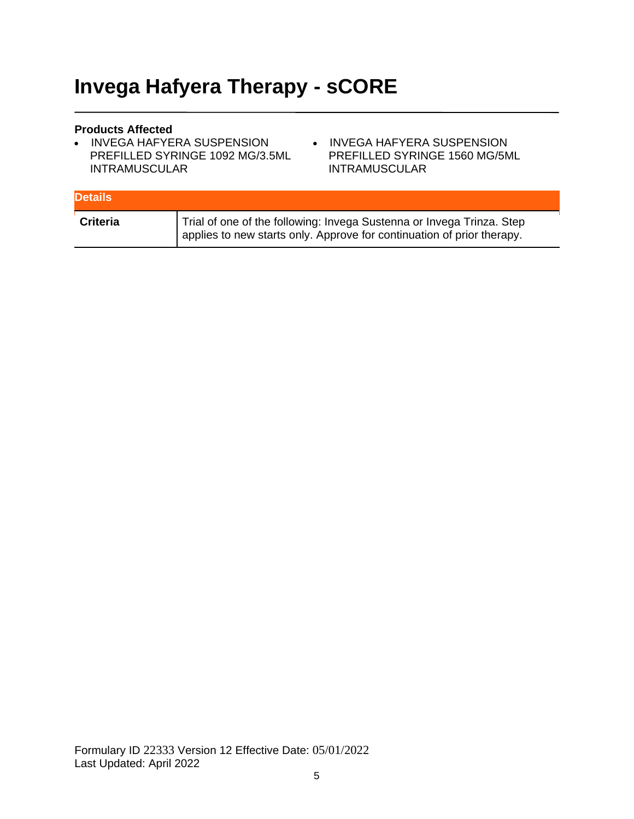## **Invega Hafyera Therapy - sCORE**

- INVEGA HAFYERA SUSPENSION PREFILLED SYRINGE 1092 MG/3.5ML INTRAMUSCULAR
- INVEGA HAFYERA SUSPENSION PREFILLED SYRINGE 1560 MG/5ML INTRAMUSCULAR

| <b>Details</b>  |                                                                                                                                                 |
|-----------------|-------------------------------------------------------------------------------------------------------------------------------------------------|
| <b>Criteria</b> | Trial of one of the following: Invega Sustenna or Invega Trinza. Step<br>applies to new starts only. Approve for continuation of prior therapy. |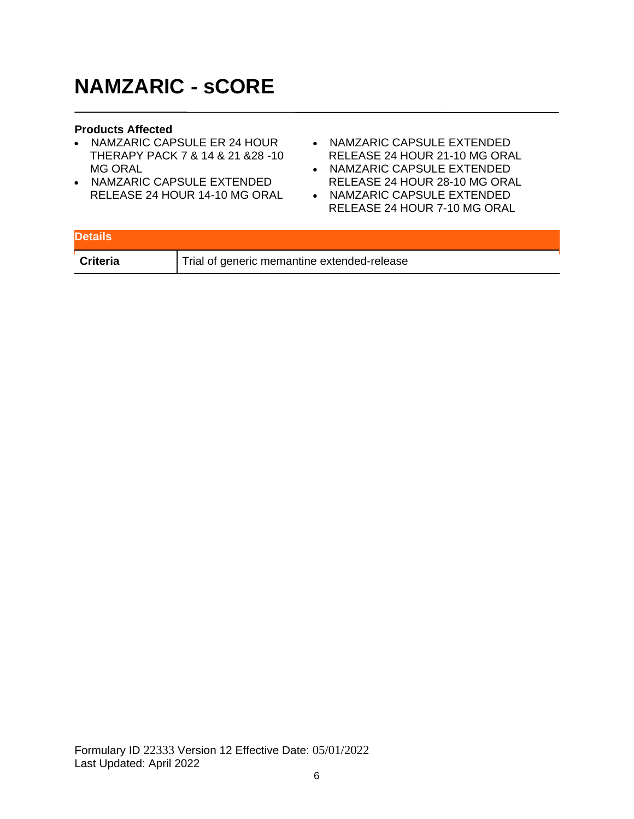## **NAMZARIC - sCORE**

- NAMZARIC CAPSULE ER 24 HOUR THERAPY PACK 7 & 14 & 21 &28 -10 MG ORAL
- NAMZARIC CAPSULE EXTENDED RELEASE 24 HOUR 14-10 MG ORAL
- NAMZARIC CAPSULE EXTENDED RELEASE 24 HOUR 21-10 MG ORAL
- NAMZARIC CAPSULE EXTENDED RELEASE 24 HOUR 28-10 MG ORAL
- NAMZARIC CAPSULE EXTENDED RELEASE 24 HOUR 7-10 MG ORAL

| <b>Details</b>  |                                             |
|-----------------|---------------------------------------------|
| <b>Criteria</b> | Trial of generic memantine extended-release |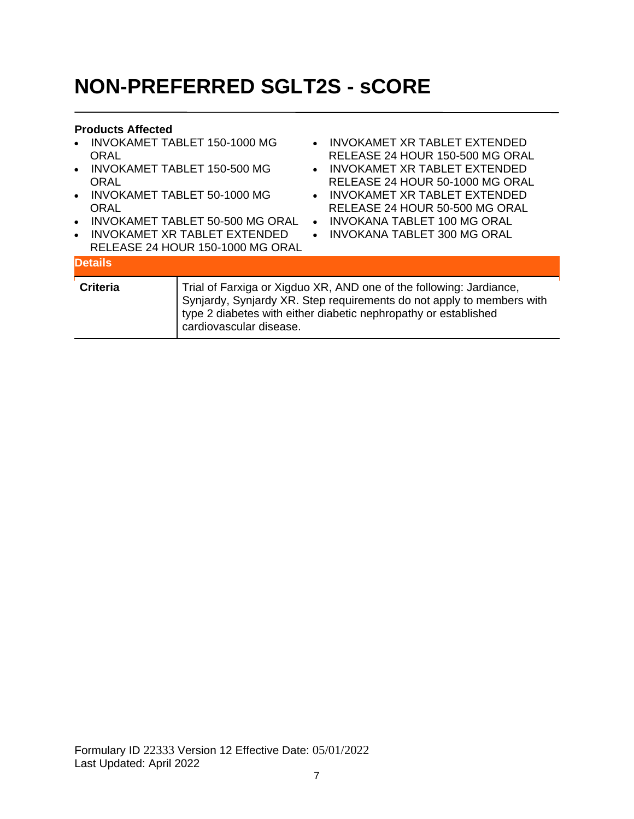# **NON-PREFERRED SGLT2S - sCORE**

| $\bullet$<br>ORAL<br>$\bullet$<br>ORAL<br>$\bullet$<br>ORAL<br>$\bullet$<br>$\bullet$ | <b>INVOKAMET TABLET 150-1000 MG</b><br><b>INVOKAMET TABLET 150-500 MG</b><br>INVOKAMET TABLET 50-1000 MG<br>INVOKAMET TABLET 50-500 MG ORAL<br>INVOKAMET XR TABLET EXTENDED<br>RELEASE 24 HOUR 150-1000 MG ORAL | $\bullet$<br>$\bullet$<br>$\bullet$ | INVOKAMET XR TABLET EXTENDED<br>RELEASE 24 HOUR 150-500 MG ORAL<br>INVOKAMET XR TABLET EXTENDED<br>RELEASE 24 HOUR 50-1000 MG ORAL<br>• INVOKAMET XR TABLET EXTENDED<br>RELEASE 24 HOUR 50-500 MG ORAL<br><b>INVOKANA TABLET 100 MG ORAL</b><br>INVOKANA TABLET 300 MG ORAL |
|---------------------------------------------------------------------------------------|-----------------------------------------------------------------------------------------------------------------------------------------------------------------------------------------------------------------|-------------------------------------|-----------------------------------------------------------------------------------------------------------------------------------------------------------------------------------------------------------------------------------------------------------------------------|
| <b>Details</b>                                                                        |                                                                                                                                                                                                                 |                                     |                                                                                                                                                                                                                                                                             |
| Criteria                                                                              | cardiovascular disease.                                                                                                                                                                                         |                                     | Trial of Farxiga or Xigduo XR, AND one of the following: Jardiance,<br>Synjardy, Synjardy XR. Step requirements do not apply to members with<br>type 2 diabetes with either diabetic nephropathy or established                                                             |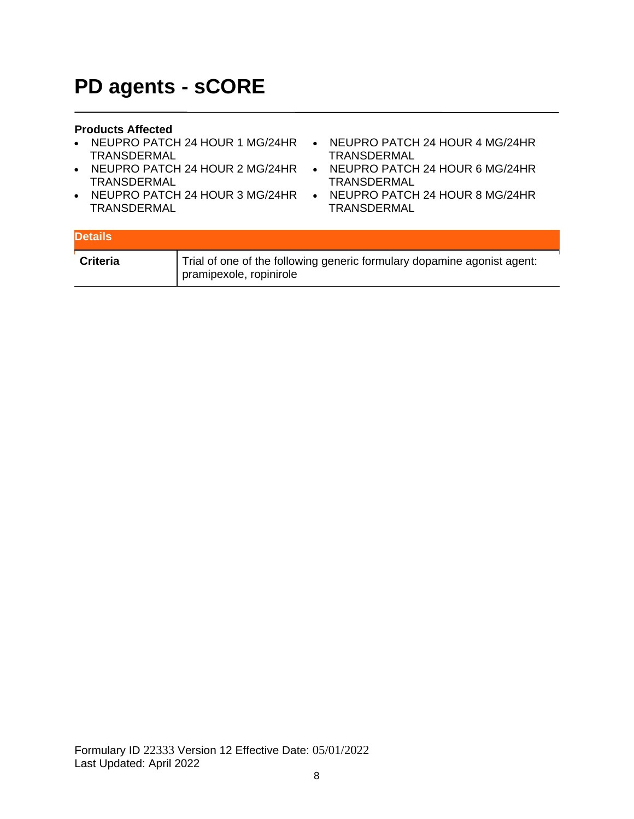### **PD agents - sCORE**

- NEUPRO PATCH 24 HOUR 1 MG/24HR NEUPRO PATCH 24 HOUR 4 MG/24HR TRANSDERMAL
- NEUPRO PATCH 24 HOUR 2 MG/24HR NEUPRO PATCH 24 HOUR 6 MG/24HR TRANSDERMAL
- NEUPRO PATCH 24 HOUR 3 MG/24HR NEUPRO PATCH 24 HOUR 8 MG/24HR TRANSDERMAL
- TRANSDERMAL
- TRANSDERMAL
- **TRANSDERMAL**

| <b>Details</b>  |                                                                                                    |
|-----------------|----------------------------------------------------------------------------------------------------|
| <b>Criteria</b> | Trial of one of the following generic formulary dopamine agonist agent:<br>pramipexole, ropinirole |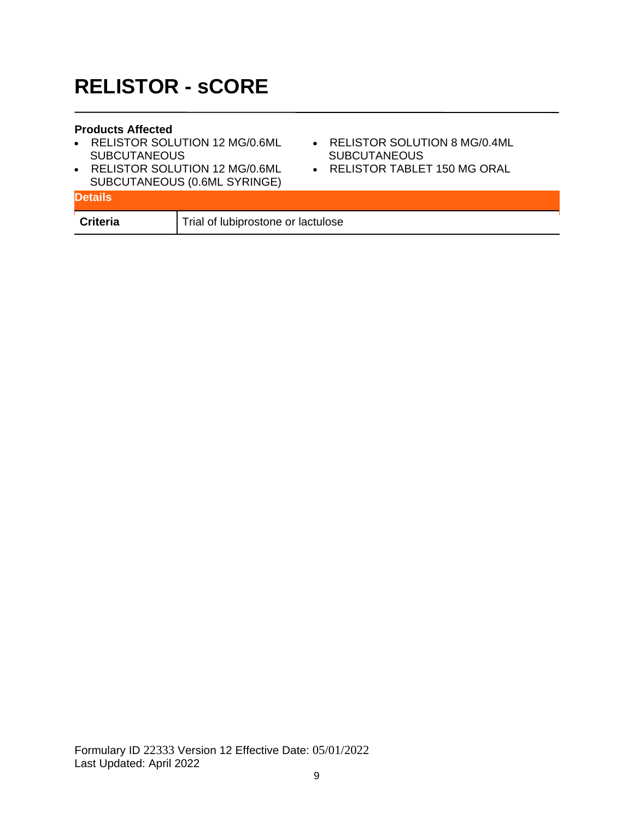## **RELISTOR - sCORE**

- RELISTOR SOLUTION 12 MG/0.6ML **SUBCUTANEOUS**
- RELISTOR SOLUTION 12 MG/0.6ML SUBCUTANEOUS (0.6ML SYRINGE)
- RELISTOR SOLUTION 8 MG/0.4ML **SUBCUTANEOUS**
- RELISTOR TABLET 150 MG ORAL

| <b>SUBCUTANLOUS (U.0ML STRINGL)</b><br><b>Details</b> |                                    |
|-------------------------------------------------------|------------------------------------|
| <b>Criteria</b>                                       | Trial of lubiprostone or lactulose |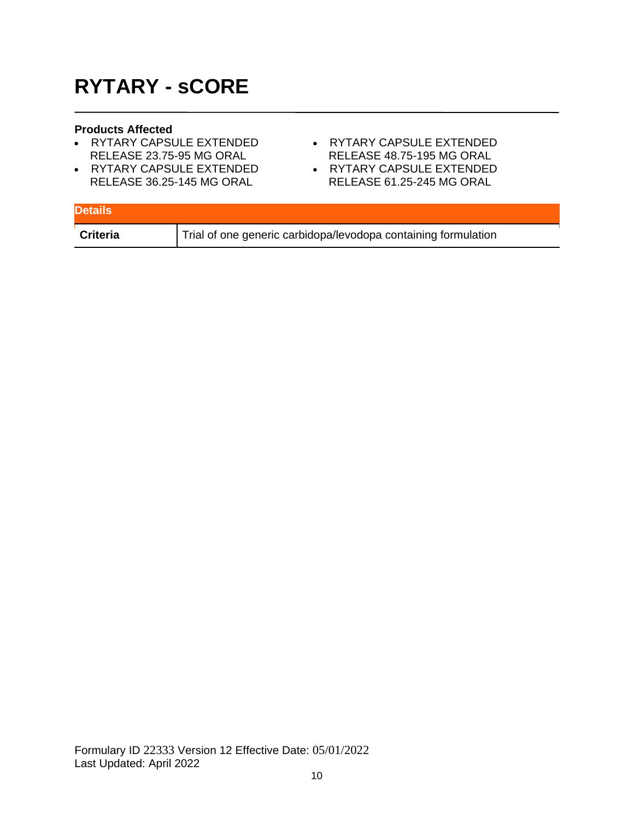# **RYTARY - sCORE**

- RYTARY CAPSULE EXTENDED RELEASE 23.75-95 MG ORAL
- RYTARY CAPSULE EXTENDED RELEASE 36.25-145 MG ORAL
- RYTARY CAPSULE EXTENDED RELEASE 48.75-195 MG ORAL
- **EXELLENCE 40.70-190 ING URAL**<br>• RYTARY CAPSULE EXTENDED RELEASE 61.25-245 MG ORAL

| <b>Details</b> |                                                                |
|----------------|----------------------------------------------------------------|
| Criteria       | Trial of one generic carbidopa/levodopa containing formulation |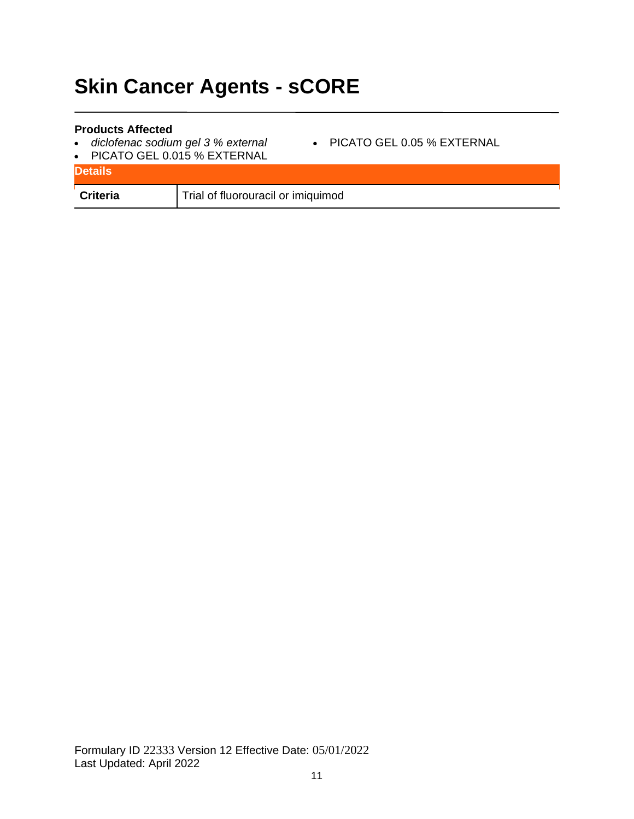# **Skin Cancer Agents - sCORE**

- *diclofenac sodium gel 3 % external*
- PICATO GEL 0.05 % EXTERNAL
- PICATO GEL 0.015 % EXTERNAL

| <b>Details</b>  |                                    |
|-----------------|------------------------------------|
| <b>Criteria</b> | Trial of fluorouracil or imiquimod |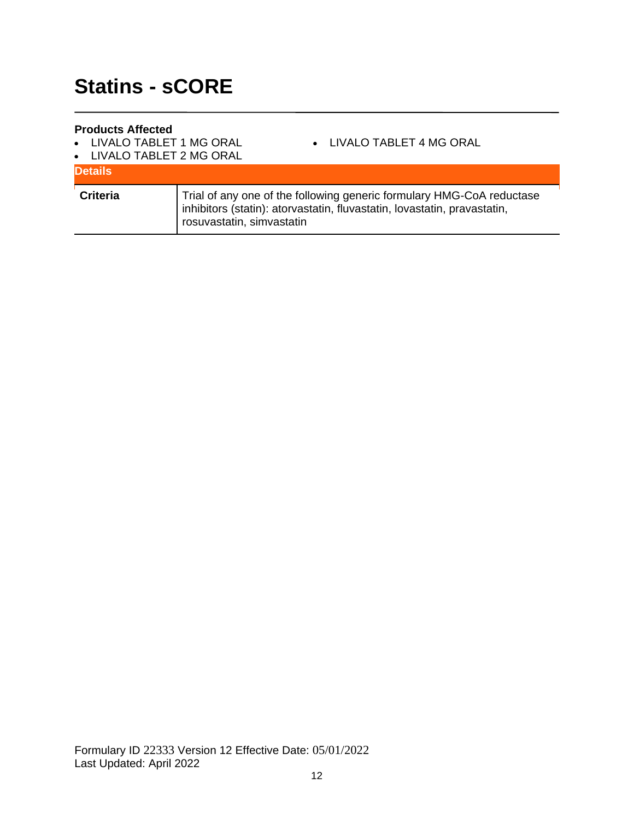- LIVALO TABLET 1 MG ORAL
- LIVALO TABLET 4 MG ORAL
- LIVALO TABLET 2 MG ORAL

| <b>Details</b>  |                                                                                                                                                                                |
|-----------------|--------------------------------------------------------------------------------------------------------------------------------------------------------------------------------|
| <b>Criteria</b> | Trial of any one of the following generic formulary HMG-CoA reductase<br>inhibitors (statin): atorvastatin, fluvastatin, lovastatin, pravastatin,<br>rosuvastatin, simvastatin |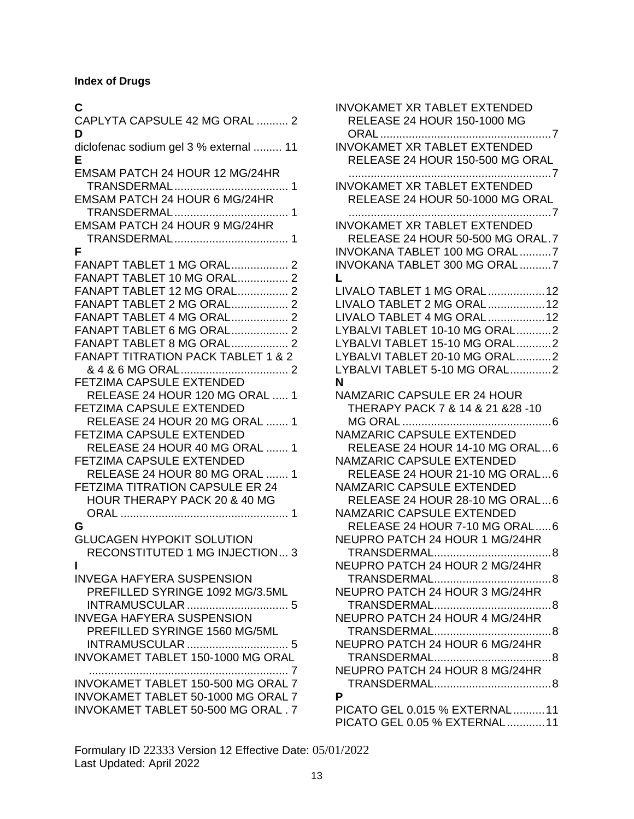### **Index of Drugs**

### **C**

| CAPLYTA CAPSULE 42 MG ORAL  2<br>D                                                                                                                                                                                                                                                                                                                                                                                                                                                                                                                                                                                                  |
|-------------------------------------------------------------------------------------------------------------------------------------------------------------------------------------------------------------------------------------------------------------------------------------------------------------------------------------------------------------------------------------------------------------------------------------------------------------------------------------------------------------------------------------------------------------------------------------------------------------------------------------|
| diclofenac sodium gel 3 % external  11<br>Е                                                                                                                                                                                                                                                                                                                                                                                                                                                                                                                                                                                         |
| EMSAM PATCH 24 HOUR 12 MG/24HR<br>EMSAM PATCH 24 HOUR 6 MG/24HR<br>EMSAM PATCH 24 HOUR 9 MG/24HR<br>1                                                                                                                                                                                                                                                                                                                                                                                                                                                                                                                               |
| F<br>FANAPT TABLET 1 MG ORAL 2<br>FANAPT TABLET 10 MG ORAL 2<br>FANAPT TABLET 12 MG ORAL 2<br><b>FANAPT TABLET 2 MG ORAL 2</b><br>FANAPT TABLET 4 MG ORAL 2<br>FANAPT TABLET 6 MG ORAL 2<br><b>FANAPT TABLET 8 MG ORAL 2</b><br><b>FANAPT TITRATION PACK TABLET 1 &amp; 2</b><br>FETZIMA CAPSULE EXTENDED<br>RELEASE 24 HOUR 120 MG ORAL  1<br><b>FETZIMA CAPSULE EXTENDED</b><br>RELEASE 24 HOUR 20 MG ORAL  1<br><b>FETZIMA CAPSULE EXTENDED</b><br>RELEASE 24 HOUR 40 MG ORAL  1<br><b>FETZIMA CAPSULE EXTENDED</b><br>RELEASE 24 HOUR 80 MG ORAL<br>1<br><b>FETZIMA TITRATION CAPSULE ER 24</b><br>HOUR THERAPY PACK 20 & 40 MG |
| G<br><b>GLUCAGEN HYPOKIT SOLUTION</b><br>RECONSTITUTED 1 MG INJECTION 3<br>ı<br><b>INVEGA HAFYERA SUSPENSION</b><br>PREFILLED SYRINGE 1092 MG/3.5ML<br><b>INVEGA HAFYERA SUSPENSION</b><br>PREFILLED SYRINGE 1560 MG/5ML                                                                                                                                                                                                                                                                                                                                                                                                            |
| <b>INVOKAMET TABLET 150-1000 MG ORAL</b><br>INVOKAMET TABLET 150-500 MG ORAL 7<br>INVOKAMET TABLET 50-1000 MG ORAL 7<br>INVOKAMET TABLET 50-500 MG ORAL. 7                                                                                                                                                                                                                                                                                                                                                                                                                                                                          |

| <b>INVOKAMET XR TABLET EXTENDED</b><br><b>RELEASE 24 HOUR 150-1000 MG</b> |  |
|---------------------------------------------------------------------------|--|
| <b>INVOKAMET XR TABLET EXTENDED</b><br>RELEASE 24 HOUR 150-500 MG ORAL    |  |
| <b>INVOKAMET XR TABLET EXTENDED</b><br>RELEASE 24 HOUR 50-1000 MG ORAL    |  |
| <b>INVOKAMET XR TABLET EXTENDED</b><br>RELEASE 24 HOUR 50-500 MG ORAL.7   |  |
| INVOKANA TABLET 100 MG ORAL7<br>INVOKANA TABLET 300 MG ORAL7              |  |
| L<br>LIVALO TABLET 1 MG ORAL 12<br>LIVALO TABLET 2 MG ORAL 12             |  |
| LIVALO TABLET 4 MG ORAL12                                                 |  |
| LYBALVI TABLET 10-10 MG ORAL2                                             |  |
| LYBALVI TABLET 15-10 MG ORAL2                                             |  |
| LYBALVI TABLET 20-10 MG ORAL2                                             |  |
| LYBALVI TABLET 5-10 MG ORAL2                                              |  |
| N                                                                         |  |
| <b>NAMZARIC CAPSULE ER 24 HOUR</b>                                        |  |
| THERAPY PACK 7 & 14 & 21 & 28 - 10                                        |  |
|                                                                           |  |
| NAMZARIC CAPSULE EXTENDED                                                 |  |
| RELEASE 24 HOUR 14-10 MG ORAL6                                            |  |
| NAMZARIC CAPSULE EXTENDED                                                 |  |
| RELEASE 24 HOUR 21-10 MG ORAL6                                            |  |
| NAMZARIC CAPSULE EXTENDED                                                 |  |
| RELEASE 24 HOUR 28-10 MG ORAL6                                            |  |
| NAMZARIC CAPSULE EXTENDED                                                 |  |
| RELEASE 24 HOUR 7-10 MG ORAL6<br>NEUPRO PATCH 24 HOUR 1 MG/24HR           |  |
|                                                                           |  |
| NEUPRO PATCH 24 HOUR 2 MG/24HR                                            |  |
|                                                                           |  |
| NEUPRO PATCH 24 HOUR 3 MG/24HR                                            |  |
|                                                                           |  |
| NEUPRO PATCH 24 HOUR 4 MG/24HR                                            |  |
|                                                                           |  |
| NEUPRO PATCH 24 HOUR 6 MG/24HR                                            |  |
|                                                                           |  |
| NEUPRO PATCH 24 HOUR 8 MG/24HR                                            |  |
|                                                                           |  |
| P                                                                         |  |
| PICATO GEL 0.015 % EXTERNAL11                                             |  |
| PICATO GEL 0.05 % EXTERNAL11                                              |  |

Formulary ID 22333 Version 12 Effective Date: 05/01/2022 Last Updated: April 2022